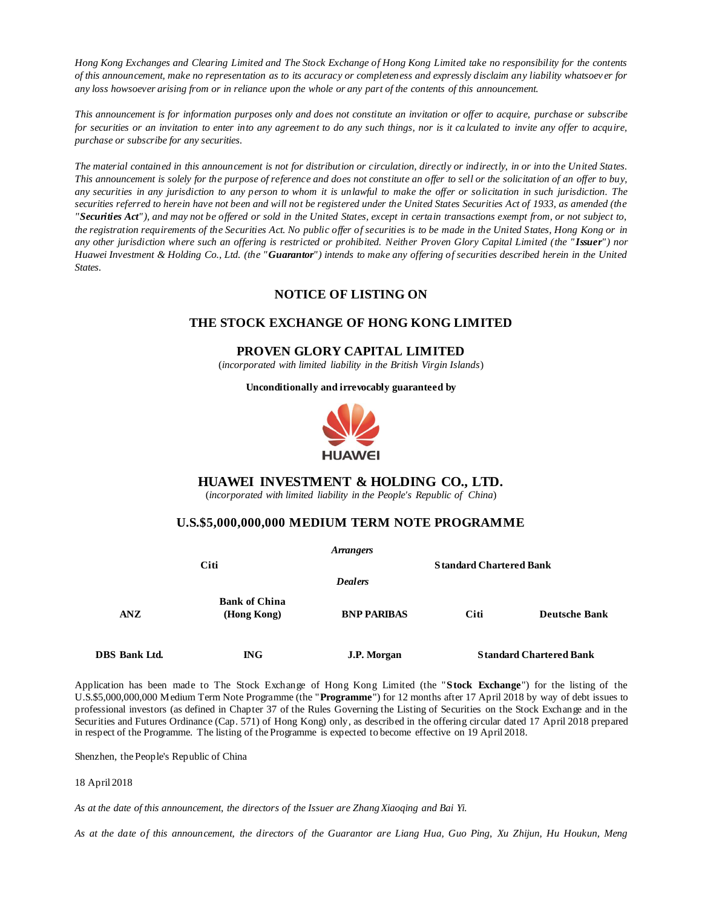*Hong Kong Exchanges and Clearing Limited and The Stock Exchange of Hong Kong Limited take no responsibility for the contents of this announcement, make no representation as to its accuracy or completeness and expressly disclaim any liability whatsoev er for any loss howsoever arising from or in reliance upon the whole or any part of the contents of this announcement.* 

*This announcement is for information purposes only and does not constitute an invitation or offer to acquire, purchase or subscribe for securities or an invitation to enter into any agreement to do any such things, nor is it ca lculated to invite any offer to acquire, purchase or subscribe for any securities.*

*The material contained in this announcement is not for distribution or circulation, directly or indirectly, in or into the United States. This announcement is solely for the purpose of reference and does not constitute an offer to sell or the solicitation of an offer to buy, any securities in any jurisdiction to any person to whom it is unlawful to make the offer or solicitation in such jurisdiction. The securities referred to herein have not been and will not be registered under the United States Securities Act of 1933, as amended (the "Securities Act"), and may not be offered or sold in the United States, except in certain transactions exempt from, or not subject to, the registration requirements of the Securities Act. No public offer of securities is to be made in the United States, Hong Kong or in any other jurisdiction where such an offering is restricted or prohibited. Neither Proven Glory Capital Limited (the " Issuer") nor Huawei Investment & Holding Co., Ltd. (the "Guarantor") intends to make any offering of securities described herein in the United States.*

# **NOTICE OF LISTING ON**

# **THE STOCK EXCHANGE OF HONG KONG LIMITED**

### **PROVEN GLORY CAPITAL LIMITED**

(*incorporated with limited liability in the British Virgin Islands*)

**Unconditionally and irrevocably guaranteed by** 



## **HUAWEI INVESTMENT & HOLDING CO., LTD.**

(*incorporated with limited liability in the People's Republic of China*)

### **U.S.\$5,000,000,000 MEDIUM TERM NOTE PROGRAMME**

| Arrangers     |                                     |                                |                                |                      |
|---------------|-------------------------------------|--------------------------------|--------------------------------|----------------------|
| Citi          |                                     | <b>Standard Chartered Bank</b> |                                |                      |
|               |                                     | <b>Dealers</b>                 |                                |                      |
| ANZ           | <b>Bank of China</b><br>(Hong Kong) | <b>BNP PARIBAS</b>             | Citi                           | <b>Deutsche Bank</b> |
| DBS Bank Ltd. | $\mathbb{N}G$                       | J.P. Morgan                    | <b>Standard Chartered Bank</b> |                      |

Application has been made to The Stock Exchange of Hong Kong Limited (the "**Stock Exchange**") for the listing of the U.S.\$5,000,000,000 Medium Term Note Programme (the "**Programme**") for 12 months after 17 April 2018 by way of debt issues to professional investors (as defined in Chapter 37 of the Rules Governing the Listing of Securities on the Stock Exchange and in the Securities and Futures Ordinance (Cap. 571) of Hong Kong) only, as described in the offering circular dated 17 April 2018 prepared in respect of the Programme. The listing of the Programme is expected to become effective on 19 April 2018.

Shenzhen, the People's Republic of China

#### 18 April 2018

*As at the date of this announcement, the directors of the Issuer are Zhang Xiaoqing and Bai Yi.*

*As at the date of this announcement, the directors of the Guarantor are Liang Hua, Guo Ping, Xu Zhijun, Hu Houkun, Meng*